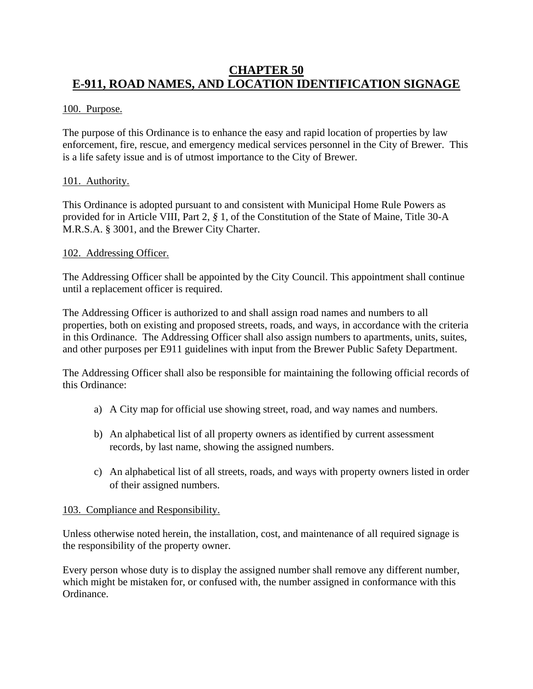# **CHAPTER 50 E-911, ROAD NAMES, AND LOCATION IDENTIFICATION SIGNAGE**

# 100. Purpose.

The purpose of this Ordinance is to enhance the easy and rapid location of properties by law enforcement, fire, rescue, and emergency medical services personnel in the City of Brewer. This is a life safety issue and is of utmost importance to the City of Brewer.

# 101. Authority.

This Ordinance is adopted pursuant to and consistent with Municipal Home Rule Powers as provided for in Article VIII, Part 2, *§* 1, of the Constitution of the State of Maine, Title 30-A M.R.S.A. § 3001, and the Brewer City Charter.

#### 102. Addressing Officer.

The Addressing Officer shall be appointed by the City Council. This appointment shall continue until a replacement officer is required.

The Addressing Officer is authorized to and shall assign road names and numbers to all properties, both on existing and proposed streets, roads, and ways, in accordance with the criteria in this Ordinance. The Addressing Officer shall also assign numbers to apartments, units, suites, and other purposes per E911 guidelines with input from the Brewer Public Safety Department.

The Addressing Officer shall also be responsible for maintaining the following official records of this Ordinance:

- a) A City map for official use showing street, road, and way names and numbers.
- b) An alphabetical list of all property owners as identified by current assessment records, by last name, showing the assigned numbers.
- c) An alphabetical list of all streets, roads, and ways with property owners listed in order of their assigned numbers.

#### 103. Compliance and Responsibility.

Unless otherwise noted herein, the installation, cost, and maintenance of all required signage is the responsibility of the property owner.

Every person whose duty is to display the assigned number shall remove any different number, which might be mistaken for, or confused with, the number assigned in conformance with this Ordinance.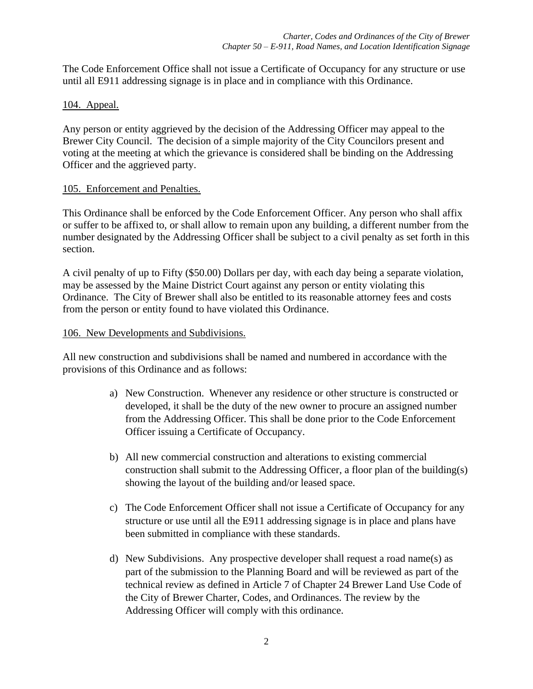The Code Enforcement Office shall not issue a Certificate of Occupancy for any structure or use until all E911 addressing signage is in place and in compliance with this Ordinance.

# 104. Appeal.

Any person or entity aggrieved by the decision of the Addressing Officer may appeal to the Brewer City Council. The decision of a simple majority of the City Councilors present and voting at the meeting at which the grievance is considered shall be binding on the Addressing Officer and the aggrieved party.

# 105. Enforcement and Penalties.

This Ordinance shall be enforced by the Code Enforcement Officer. Any person who shall affix or suffer to be affixed to, or shall allow to remain upon any building, a different number from the number designated by the Addressing Officer shall be subject to a civil penalty as set forth in this section.

A civil penalty of up to Fifty (\$50.00) Dollars per day, with each day being a separate violation, may be assessed by the Maine District Court against any person or entity violating this Ordinance. The City of Brewer shall also be entitled to its reasonable attorney fees and costs from the person or entity found to have violated this Ordinance.

# 106. New Developments and Subdivisions.

All new construction and subdivisions shall be named and numbered in accordance with the provisions of this Ordinance and as follows:

- a) New Construction. Whenever any residence or other structure is constructed or developed, it shall be the duty of the new owner to procure an assigned number from the Addressing Officer. This shall be done prior to the Code Enforcement Officer issuing a Certificate of Occupancy.
- b) All new commercial construction and alterations to existing commercial construction shall submit to the Addressing Officer, a floor plan of the building(s) showing the layout of the building and/or leased space.
- c) The Code Enforcement Officer shall not issue a Certificate of Occupancy for any structure or use until all the E911 addressing signage is in place and plans have been submitted in compliance with these standards.
- d) New Subdivisions. Any prospective developer shall request a road name(s) as part of the submission to the Planning Board and will be reviewed as part of the technical review as defined in Article 7 of Chapter 24 Brewer Land Use Code of the City of Brewer Charter, Codes, and Ordinances. The review by the Addressing Officer will comply with this ordinance.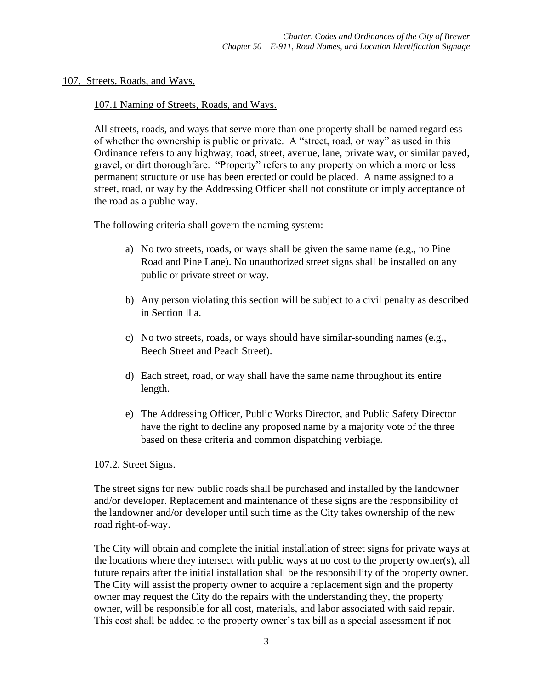107. Streets. Roads, and Ways.

#### 107.1 Naming of Streets, Roads, and Ways.

All streets, roads, and ways that serve more than one property shall be named regardless of whether the ownership is public or private. A "street, road, or way" as used in this Ordinance refers to any highway, road, street, avenue, lane, private way, or similar paved, gravel, or dirt thoroughfare. "Property" refers to any property on which a more or less permanent structure or use has been erected or could be placed. A name assigned to a street, road, or way by the Addressing Officer shall not constitute or imply acceptance of the road as a public way.

The following criteria shall govern the naming system:

- a) No two streets, roads, or ways shall be given the same name (e.g., no Pine Road and Pine Lane). No unauthorized street signs shall be installed on any public or private street or way.
- b) Any person violating this section will be subject to a civil penalty as described in Section ll a.
- c) No two streets, roads, or ways should have similar-sounding names (e.g., Beech Street and Peach Street).
- d) Each street, road, or way shall have the same name throughout its entire length.
- e) The Addressing Officer, Public Works Director, and Public Safety Director have the right to decline any proposed name by a majority vote of the three based on these criteria and common dispatching verbiage.

#### 107.2. Street Signs.

The street signs for new public roads shall be purchased and installed by the landowner and/or developer. Replacement and maintenance of these signs are the responsibility of the landowner and/or developer until such time as the City takes ownership of the new road right-of-way.

The City will obtain and complete the initial installation of street signs for private ways at the locations where they intersect with public ways at no cost to the property owner(s), all future repairs after the initial installation shall be the responsibility of the property owner. The City will assist the property owner to acquire a replacement sign and the property owner may request the City do the repairs with the understanding they, the property owner, will be responsible for all cost, materials, and labor associated with said repair. This cost shall be added to the property owner's tax bill as a special assessment if not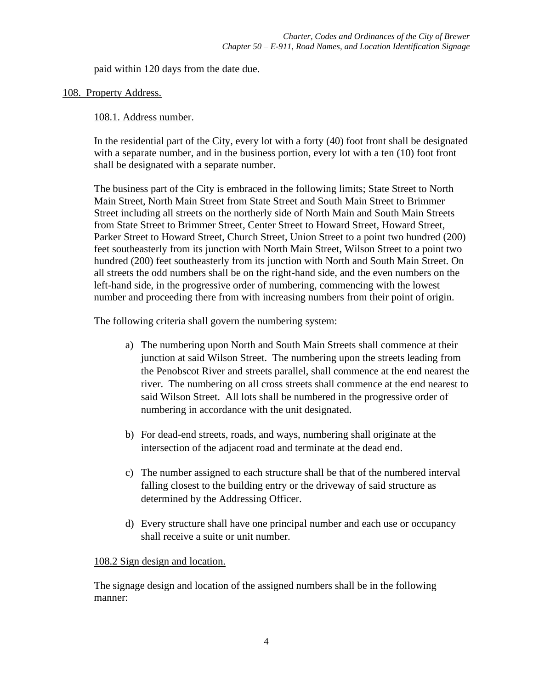paid within 120 days from the date due.

#### 108. Property Address.

# 108.1. Address number.

In the residential part of the City, every lot with a forty (40) foot front shall be designated with a separate number, and in the business portion, every lot with a ten (10) foot front shall be designated with a separate number.

The business part of the City is embraced in the following limits; State Street to North Main Street, North Main Street from State Street and South Main Street to Brimmer Street including all streets on the northerly side of North Main and South Main Streets from State Street to Brimmer Street, Center Street to Howard Street, Howard Street, Parker Street to Howard Street, Church Street, Union Street to a point two hundred (200) feet southeasterly from its junction with North Main Street, Wilson Street to a point two hundred (200) feet southeasterly from its junction with North and South Main Street. On all streets the odd numbers shall be on the right-hand side, and the even numbers on the left-hand side, in the progressive order of numbering, commencing with the lowest number and proceeding there from with increasing numbers from their point of origin.

The following criteria shall govern the numbering system:

- a) The numbering upon North and South Main Streets shall commence at their junction at said Wilson Street. The numbering upon the streets leading from the Penobscot River and streets parallel, shall commence at the end nearest the river. The numbering on all cross streets shall commence at the end nearest to said Wilson Street. All lots shall be numbered in the progressive order of numbering in accordance with the unit designated.
- b) For dead-end streets, roads, and ways, numbering shall originate at the intersection of the adjacent road and terminate at the dead end.
- c) The number assigned to each structure shall be that of the numbered interval falling closest to the building entry or the driveway of said structure as determined by the Addressing Officer.
- d) Every structure shall have one principal number and each use or occupancy shall receive a suite or unit number.

#### 108.2 Sign design and location.

The signage design and location of the assigned numbers shall be in the following manner: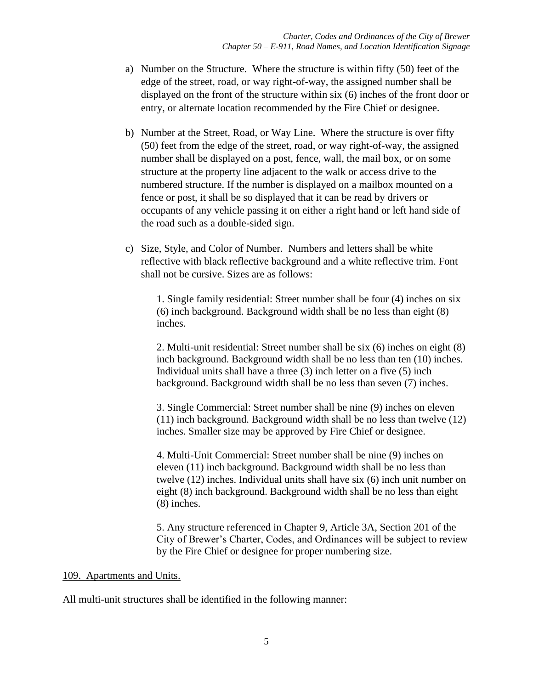- a) Number on the Structure. Where the structure is within fifty (50) feet of the edge of the street, road, or way right-of-way, the assigned number shall be displayed on the front of the structure within six (6) inches of the front door or entry, or alternate location recommended by the Fire Chief or designee.
- b) Number at the Street, Road, or Way Line. Where the structure is over fifty (50) feet from the edge of the street, road, or way right-of-way, the assigned number shall be displayed on a post, fence, wall, the mail box, or on some structure at the property line adjacent to the walk or access drive to the numbered structure. If the number is displayed on a mailbox mounted on a fence or post, it shall be so displayed that it can be read by drivers or occupants of any vehicle passing it on either a right hand or left hand side of the road such as a double-sided sign.
- c) Size, Style, and Color of Number. Numbers and letters shall be white reflective with black reflective background and a white reflective trim. Font shall not be cursive. Sizes are as follows:

1. Single family residential: Street number shall be four (4) inches on six (6) inch background. Background width shall be no less than eight (8) inches.

2. Multi-unit residential: Street number shall be six (6) inches on eight (8) inch background. Background width shall be no less than ten (10) inches. Individual units shall have a three (3) inch letter on a five (5) inch background. Background width shall be no less than seven (7) inches.

3. Single Commercial: Street number shall be nine (9) inches on eleven (11) inch background. Background width shall be no less than twelve (12) inches. Smaller size may be approved by Fire Chief or designee.

4. Multi-Unit Commercial: Street number shall be nine (9) inches on eleven (11) inch background. Background width shall be no less than twelve (12) inches. Individual units shall have six (6) inch unit number on eight (8) inch background. Background width shall be no less than eight (8) inches.

5. Any structure referenced in Chapter 9, Article 3A, Section 201 of the City of Brewer's Charter, Codes, and Ordinances will be subject to review by the Fire Chief or designee for proper numbering size.

#### 109. Apartments and Units.

All multi-unit structures shall be identified in the following manner: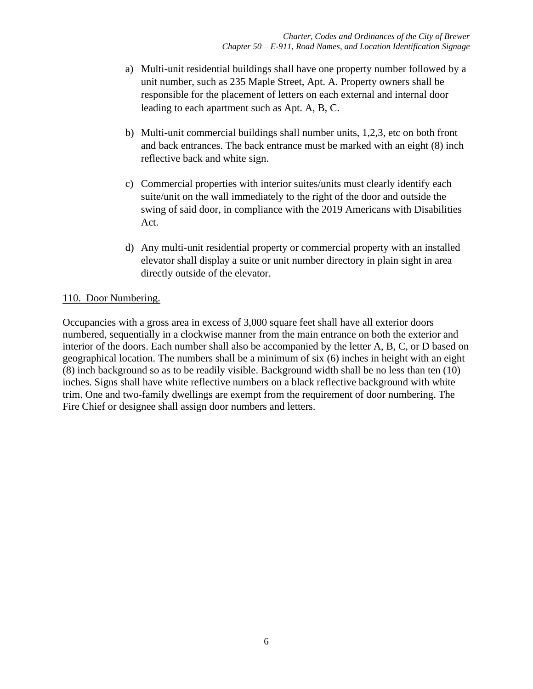- a) Multi-unit residential buildings shall have one property number followed by a unit number, such as 235 Maple Street, Apt. A. Property owners shall be responsible for the placement of letters on each external and internal door leading to each apartment such as Apt. A, B, C.
- b) Multi-unit commercial buildings shall number units, 1,2,3, etc on both front and back entrances. The back entrance must be marked with an eight (8) inch reflective back and white sign.
- c) Commercial properties with interior suites/units must clearly identify each suite/unit on the wall immediately to the right of the door and outside the swing of said door, in compliance with the 2019 Americans with Disabilities Act.
- d) Any multi-unit residential property or commercial property with an installed elevator shall display a suite or unit number directory in plain sight in area directly outside of the elevator.

# 110. Door Numbering.

Occupancies with a gross area in excess of 3,000 square feet shall have all exterior doors numbered, sequentially in a clockwise manner from the main entrance on both the exterior and interior of the doors. Each number shall also be accompanied by the letter A, B, C, or D based on geographical location. The numbers shall be a minimum of six (6) inches in height with an eight (8) inch background so as to be readily visible. Background width shall be no less than ten (10) inches. Signs shall have white reflective numbers on a black reflective background with white trim. One and two-family dwellings are exempt from the requirement of door numbering. The Fire Chief or designee shall assign door numbers and letters.